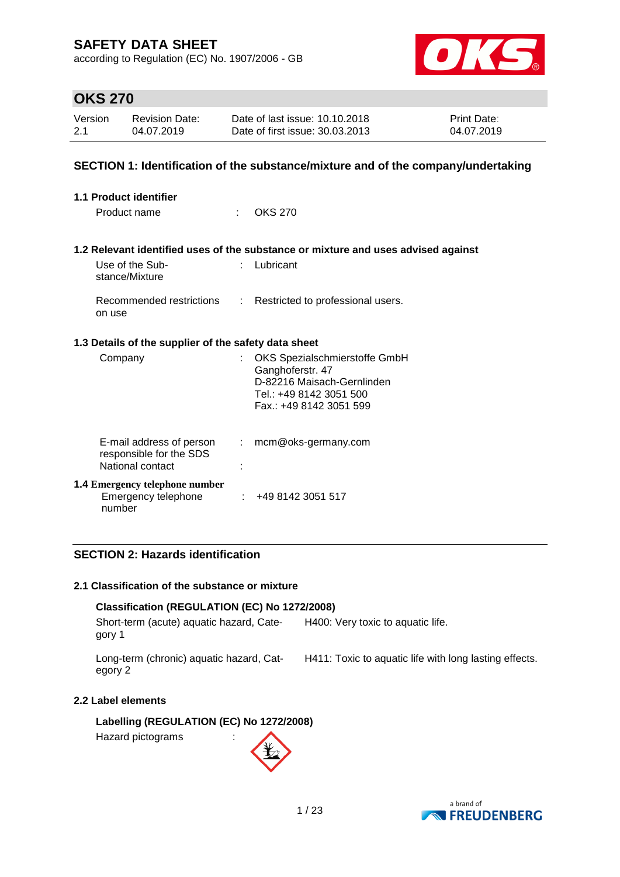according to Regulation (EC) No. 1907/2006 - GB



### **OKS 270**

| Version | <b>Revision Date:</b> | Date of last issue: 10.10.2018  | <b>Print Date:</b> |
|---------|-----------------------|---------------------------------|--------------------|
| 2.1     | 04.07.2019            | Date of first issue: 30.03.2013 | 04.07.2019         |

### **SECTION 1: Identification of the substance/mixture and of the company/undertaking**

| 1.1 Product identifier |                                                                         |                             |                                                                                                                                       |  |  |
|------------------------|-------------------------------------------------------------------------|-----------------------------|---------------------------------------------------------------------------------------------------------------------------------------|--|--|
|                        | Product name                                                            | $\mathbb{R}^{\mathbb{Z}}$   | <b>OKS 270</b>                                                                                                                        |  |  |
|                        |                                                                         |                             | 1.2 Relevant identified uses of the substance or mixture and uses advised against                                                     |  |  |
|                        | Use of the Sub-<br>stance/Mixture                                       | $\mathcal{F}_{\mathcal{A}}$ | Lubricant                                                                                                                             |  |  |
|                        | Recommended restrictions :<br>on use                                    |                             | Restricted to professional users.                                                                                                     |  |  |
|                        | 1.3 Details of the supplier of the safety data sheet                    |                             |                                                                                                                                       |  |  |
|                        | Company                                                                 |                             | OKS Spezialschmierstoffe GmbH<br>Ganghoferstr. 47<br>D-82216 Maisach-Gernlinden<br>Tel.: +49 8142 3051 500<br>Fax.: +49 8142 3051 599 |  |  |
|                        | E-mail address of person<br>responsible for the SDS<br>National contact | ÷                           | mcm@oks-germany.com                                                                                                                   |  |  |
|                        | <b>1.4 Emergency telephone number</b><br>Emergency telephone<br>number  |                             | : 4981423051517                                                                                                                       |  |  |

### **SECTION 2: Hazards identification**

#### **2.1 Classification of the substance or mixture**

### **Classification (REGULATION (EC) No 1272/2008)**

Short-term (acute) aquatic hazard, Category 1 H400: Very toxic to aquatic life.

Long-term (chronic) aquatic hazard, Category 2

H411: Toxic to aquatic life with long lasting effects.

### **2.2 Label elements**

**Labelling (REGULATION (EC) No 1272/2008)**

Hazard pictograms :



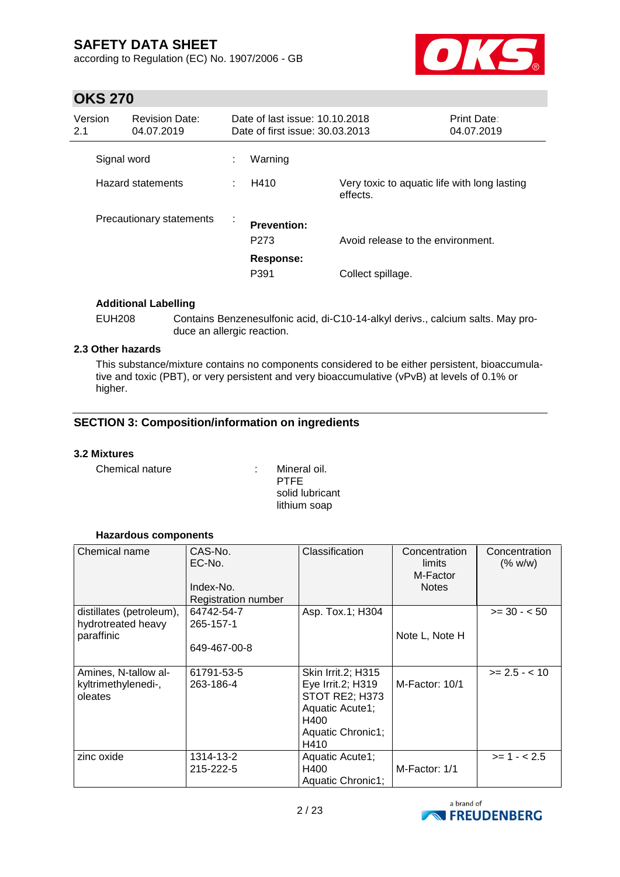according to Regulation (EC) No. 1907/2006 - GB



### **OKS 270**

| Version<br>2.1    | <b>Revision Date:</b><br>04.07.2019 |   | Date of last issue: 10.10.2018<br>Date of first issue: 30.03.2013 |                                                          | Print Date:<br>04.07.2019 |
|-------------------|-------------------------------------|---|-------------------------------------------------------------------|----------------------------------------------------------|---------------------------|
|                   | Signal word                         |   | Warning                                                           |                                                          |                           |
| Hazard statements |                                     |   | H410                                                              | Very toxic to aquatic life with long lasting<br>effects. |                           |
|                   | Precautionary statements            | ÷ | <b>Prevention:</b><br>P <sub>273</sub>                            | Avoid release to the environment.                        |                           |
|                   |                                     |   | Response:<br>P391                                                 | Collect spillage.                                        |                           |

### **Additional Labelling**

EUH208 Contains Benzenesulfonic acid, di-C10-14-alkyl derivs., calcium salts. May produce an allergic reaction.

### **2.3 Other hazards**

This substance/mixture contains no components considered to be either persistent, bioaccumulative and toxic (PBT), or very persistent and very bioaccumulative (vPvB) at levels of 0.1% or higher.

### **SECTION 3: Composition/information on ingredients**

#### **3.2 Mixtures**

Chemical nature : Mineral oil.

PTFE solid lubricant lithium soap

#### **Hazardous components**

| Chemical name                                                | CAS-No.<br>EC-No.<br>Index-No.<br>Registration number | Classification                                                                                                    | Concentration<br>limits<br>M-Factor<br><b>Notes</b> | Concentration<br>(% w/w) |
|--------------------------------------------------------------|-------------------------------------------------------|-------------------------------------------------------------------------------------------------------------------|-----------------------------------------------------|--------------------------|
| distillates (petroleum),<br>hydrotreated heavy<br>paraffinic | 64742-54-7<br>265-157-1<br>649-467-00-8               | Asp. Tox.1; H304                                                                                                  | Note L, Note H                                      | $>= 30 - 50$             |
| Amines, N-tallow al-<br>kyltrimethylenedi-,<br>oleates       | 61791-53-5<br>263-186-4                               | Skin Irrit.2; H315<br>Eye Irrit.2; H319<br>STOT RE2; H373<br>Aquatic Acute1;<br>H400<br>Aquatic Chronic1;<br>H410 | M-Factor: 10/1                                      | $>= 2.5 - < 10$          |
| zinc oxide                                                   | 1314-13-2<br>215-222-5                                | Aquatic Acute1;<br>H400<br>Aquatic Chronic1;                                                                      | M-Factor: 1/1                                       | $>= 1 - 2.5$             |

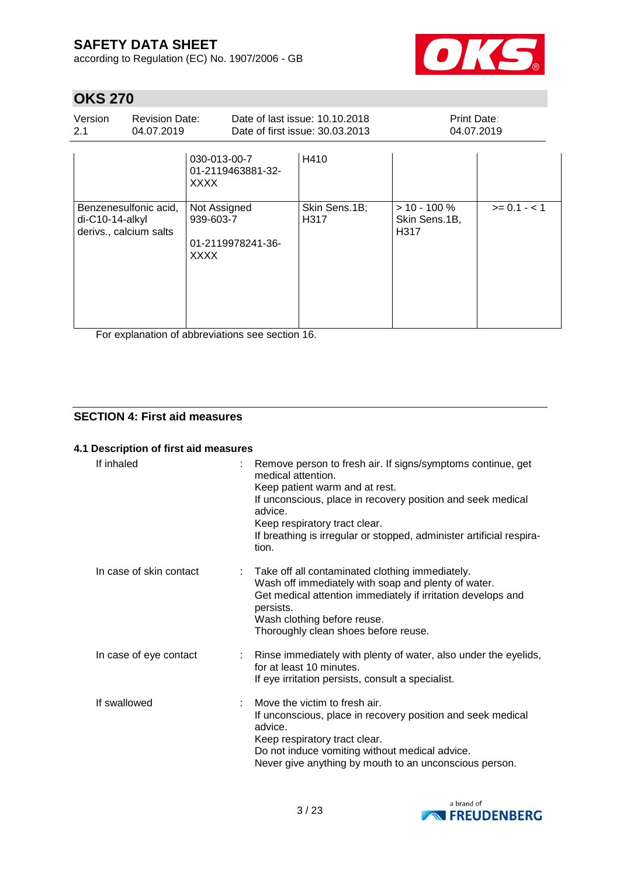according to Regulation (EC) No. 1907/2006 - GB



# **OKS 270**

| Version<br>2.1                                                                      | <b>Revision Date:</b><br>04.07.2019 |                                                  | Date of last issue: 10.10.2018<br>Date of first issue: 30.03.2013 | Print Date:<br>04.07.2019                |              |
|-------------------------------------------------------------------------------------|-------------------------------------|--------------------------------------------------|-------------------------------------------------------------------|------------------------------------------|--------------|
|                                                                                     |                                     | 030-013-00-7<br>01-2119463881-32-<br><b>XXXX</b> | H410                                                              |                                          |              |
| Benzenesulfonic acid,<br>$di-C10-14-alkyl$<br>derivs., calcium salts<br><b>XXXX</b> |                                     | Not Assigned<br>939-603-7<br>01-2119978241-36-   | Skin Sens.1B;<br>H317                                             | $> 10 - 100 \%$<br>Skin Sens.1B,<br>H317 | $>= 0.1 - 1$ |

For explanation of abbreviations see section 16.

### **SECTION 4: First aid measures**

#### **4.1 Description of first aid measures**

| If inhaled              | Remove person to fresh air. If signs/symptoms continue, get<br>medical attention.<br>Keep patient warm and at rest.<br>If unconscious, place in recovery position and seek medical<br>advice.<br>Keep respiratory tract clear.<br>If breathing is irregular or stopped, administer artificial respira-<br>tion. |
|-------------------------|-----------------------------------------------------------------------------------------------------------------------------------------------------------------------------------------------------------------------------------------------------------------------------------------------------------------|
| In case of skin contact | Take off all contaminated clothing immediately.<br>Wash off immediately with soap and plenty of water.<br>Get medical attention immediately if irritation develops and<br>persists.<br>Wash clothing before reuse.<br>Thoroughly clean shoes before reuse.                                                      |
| In case of eye contact  | : Rinse immediately with plenty of water, also under the eyelids,<br>for at least 10 minutes.<br>If eye irritation persists, consult a specialist.                                                                                                                                                              |
| If swallowed            | Move the victim to fresh air.<br>If unconscious, place in recovery position and seek medical<br>advice.<br>Keep respiratory tract clear.<br>Do not induce vomiting without medical advice.<br>Never give anything by mouth to an unconscious person.                                                            |

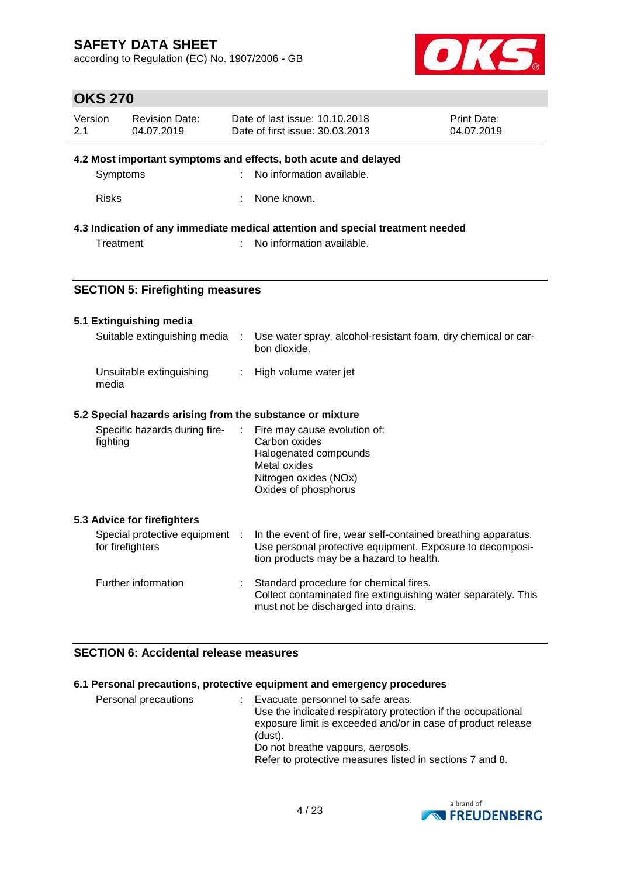according to Regulation (EC) No. 1907/2006 - GB



# **OKS 270**

| Version<br>2.1                                                              | <b>Revision Date:</b><br>04.07.2019                       | Date of last issue: 10.10.2018<br>Print Date:<br>Date of first issue: 30.03.2013<br>04.07.2019 |                                                                                                                                                                         |  |
|-----------------------------------------------------------------------------|-----------------------------------------------------------|------------------------------------------------------------------------------------------------|-------------------------------------------------------------------------------------------------------------------------------------------------------------------------|--|
| 4.2 Most important symptoms and effects, both acute and delayed<br>Symptoms |                                                           |                                                                                                | No information available.                                                                                                                                               |  |
|                                                                             | <b>Risks</b>                                              |                                                                                                | None known.                                                                                                                                                             |  |
|                                                                             |                                                           |                                                                                                | 4.3 Indication of any immediate medical attention and special treatment needed                                                                                          |  |
|                                                                             | Treatment                                                 |                                                                                                | No information available.                                                                                                                                               |  |
|                                                                             | <b>SECTION 5: Firefighting measures</b>                   |                                                                                                |                                                                                                                                                                         |  |
|                                                                             | 5.1 Extinguishing media                                   |                                                                                                |                                                                                                                                                                         |  |
|                                                                             | Suitable extinguishing media                              | ÷                                                                                              | Use water spray, alcohol-resistant foam, dry chemical or car-<br>bon dioxide.                                                                                           |  |
| Unsuitable extinguishing<br>÷.<br>media                                     |                                                           | High volume water jet                                                                          |                                                                                                                                                                         |  |
|                                                                             | 5.2 Special hazards arising from the substance or mixture |                                                                                                |                                                                                                                                                                         |  |
|                                                                             | Specific hazards during fire-<br>fighting                 | $\mathbb{Z}^{\mathbb{Z}}$                                                                      | Fire may cause evolution of:<br>Carbon oxides<br>Halogenated compounds<br>Metal oxides<br>Nitrogen oxides (NOx)<br>Oxides of phosphorus                                 |  |
|                                                                             | 5.3 Advice for firefighters                               |                                                                                                |                                                                                                                                                                         |  |
|                                                                             | Special protective equipment :<br>for firefighters        |                                                                                                | In the event of fire, wear self-contained breathing apparatus.<br>Use personal protective equipment. Exposure to decomposi-<br>tion products may be a hazard to health. |  |
|                                                                             | Further information                                       |                                                                                                | Standard procedure for chemical fires.<br>Collect contaminated fire extinguishing water separately. This<br>must not be discharged into drains.                         |  |

### **SECTION 6: Accidental release measures**

### **6.1 Personal precautions, protective equipment and emergency procedures**

| Personal precautions<br>(dust). | Evacuate personnel to safe areas.<br>Use the indicated respiratory protection if the occupational<br>exposure limit is exceeded and/or in case of product release<br>Do not breathe vapours, aerosols.<br>Refer to protective measures listed in sections 7 and 8. |
|---------------------------------|--------------------------------------------------------------------------------------------------------------------------------------------------------------------------------------------------------------------------------------------------------------------|
|---------------------------------|--------------------------------------------------------------------------------------------------------------------------------------------------------------------------------------------------------------------------------------------------------------------|

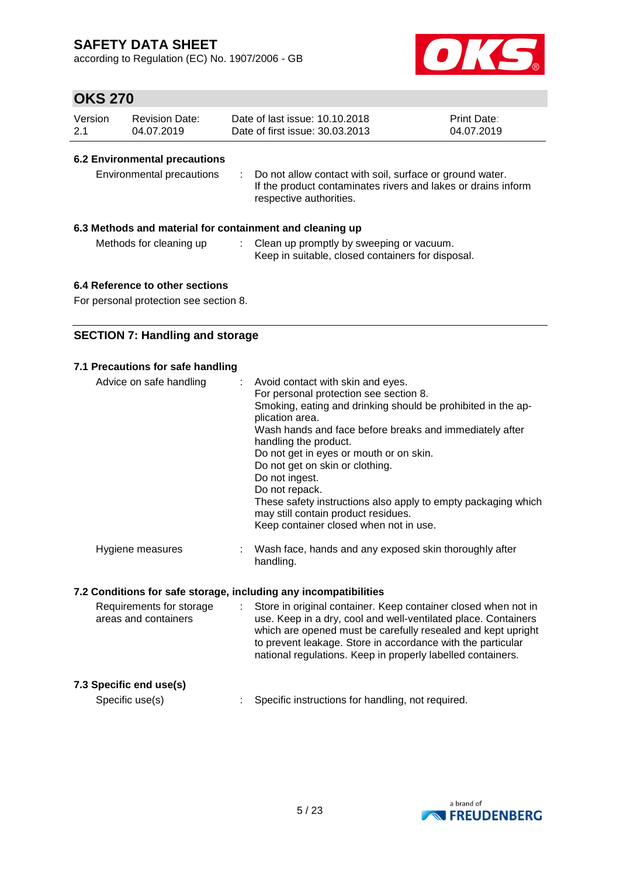according to Regulation (EC) No. 1907/2006 - GB



# **OKS 270**

| Version | Revision Date: | Date of last issue: 10.10.2018  | <b>Print Date:</b> |
|---------|----------------|---------------------------------|--------------------|
| 2.1     | 04.07.2019     | Date of first issue: 30.03.2013 | 04.07.2019         |

### **6.2 Environmental precautions**

| Environmental precautions |  | Do not allow contact with soil, surface or ground water.<br>If the product contaminates rivers and lakes or drains inform<br>respective authorities. |
|---------------------------|--|------------------------------------------------------------------------------------------------------------------------------------------------------|
|---------------------------|--|------------------------------------------------------------------------------------------------------------------------------------------------------|

### **6.3 Methods and material for containment and cleaning up**

| Methods for cleaning up | Clean up promptly by sweeping or vacuum.          |
|-------------------------|---------------------------------------------------|
|                         | Keep in suitable, closed containers for disposal. |

### **6.4 Reference to other sections**

For personal protection see section 8.

### **SECTION 7: Handling and storage**

| 7.1 Precautions for safe handling<br>Advice on safe handling | : Avoid contact with skin and eyes.<br>For personal protection see section 8.<br>Smoking, eating and drinking should be prohibited in the ap-<br>plication area.<br>Wash hands and face before breaks and immediately after<br>handling the product.<br>Do not get in eyes or mouth or on skin.<br>Do not get on skin or clothing.<br>Do not ingest.<br>Do not repack. |
|--------------------------------------------------------------|------------------------------------------------------------------------------------------------------------------------------------------------------------------------------------------------------------------------------------------------------------------------------------------------------------------------------------------------------------------------|
|                                                              | These safety instructions also apply to empty packaging which<br>may still contain product residues.<br>Keep container closed when not in use.                                                                                                                                                                                                                         |
| Hygiene measures                                             | Wash face, hands and any exposed skin thoroughly after<br>handling.                                                                                                                                                                                                                                                                                                    |

### **7.2 Conditions for safe storage, including any incompatibilities**

| Requirements for storage<br>areas and containers | Store in original container. Keep container closed when not in<br>use. Keep in a dry, cool and well-ventilated place. Containers<br>which are opened must be carefully resealed and kept upright<br>to prevent leakage. Store in accordance with the particular<br>national regulations. Keep in properly labelled containers. |
|--------------------------------------------------|--------------------------------------------------------------------------------------------------------------------------------------------------------------------------------------------------------------------------------------------------------------------------------------------------------------------------------|
| 7.3 Specific end use(s)<br>Specific use(s)       | Specific instructions for handling, not required.                                                                                                                                                                                                                                                                              |

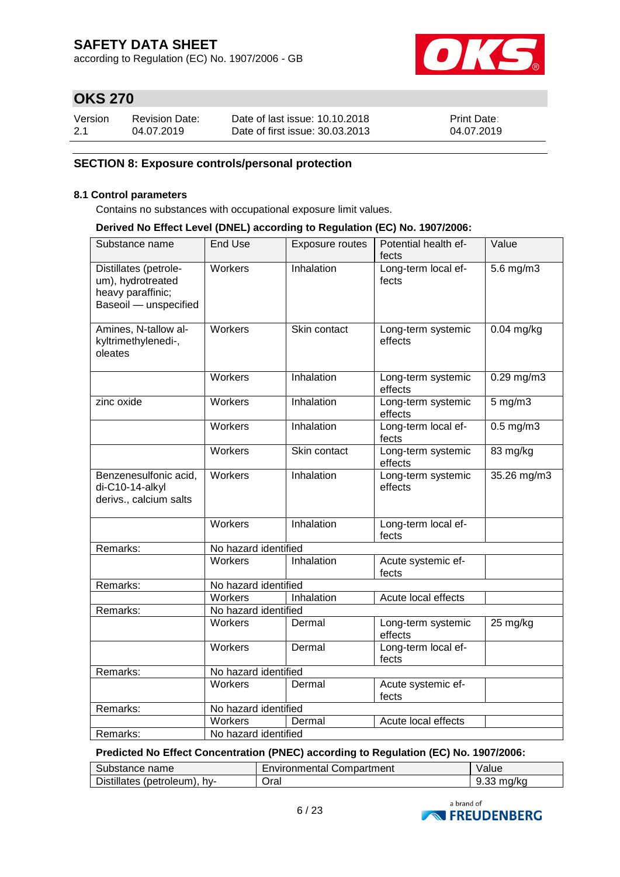according to Regulation (EC) No. 1907/2006 - GB



# **OKS 270**

| Version | <b>Revision Date:</b> | Date of last issue: 10.10.2018  | <b>Print Date:</b> |
|---------|-----------------------|---------------------------------|--------------------|
| 2.1     | 04.07.2019            | Date of first issue: 30.03.2013 | 04.07.2019         |

### **SECTION 8: Exposure controls/personal protection**

#### **8.1 Control parameters**

Contains no substances with occupational exposure limit values.

#### **Derived No Effect Level (DNEL) according to Regulation (EC) No. 1907/2006:**

| Substance name                                                                           | <b>End Use</b>       | Exposure routes   | Potential health ef-<br>fects | Value          |
|------------------------------------------------------------------------------------------|----------------------|-------------------|-------------------------------|----------------|
| Distillates (petrole-<br>um), hydrotreated<br>heavy paraffinic;<br>Baseoil - unspecified | Workers              | Inhalation        | Long-term local ef-<br>fects  | $5.6$ mg/m $3$ |
| Amines, N-tallow al-<br>kyltrimethylenedi-,<br>oleates                                   | Workers              | Skin contact      | Long-term systemic<br>effects | $0.04$ mg/kg   |
|                                                                                          | Workers              | Inhalation        | Long-term systemic<br>effects | $0.29$ mg/m3   |
| zinc oxide                                                                               | Workers              | <b>Inhalation</b> | Long-term systemic<br>effects | $5$ mg/m $3$   |
|                                                                                          | Workers              | Inhalation        | Long-term local ef-<br>fects  | $0.5$ mg/m $3$ |
|                                                                                          | Workers              | Skin contact      | Long-term systemic<br>effects | 83 mg/kg       |
| Benzenesulfonic acid,<br>di-C10-14-alkyl<br>derivs., calcium salts                       | Workers              | Inhalation        | Long-term systemic<br>effects | 35.26 mg/m3    |
|                                                                                          | Workers              | Inhalation        | Long-term local ef-<br>fects  |                |
| Remarks:                                                                                 | No hazard identified |                   |                               |                |
|                                                                                          | <b>Workers</b>       | Inhalation        | Acute systemic ef-<br>fects   |                |
| Remarks:                                                                                 | No hazard identified |                   |                               |                |
|                                                                                          | Workers              | Inhalation        | Acute local effects           |                |
| Remarks:                                                                                 | No hazard identified |                   |                               |                |
|                                                                                          | Workers              | Dermal            | Long-term systemic<br>effects | 25 mg/kg       |
|                                                                                          | Workers              | Dermal            | Long-term local ef-<br>fects  |                |
| Remarks:                                                                                 | No hazard identified |                   |                               |                |
|                                                                                          | Workers              | Dermal            | Acute systemic ef-<br>fects   |                |
| Remarks:                                                                                 | No hazard identified |                   |                               |                |
|                                                                                          | Workers              | Dermal            | Acute local effects           |                |
| Remarks:                                                                                 | No hazard identified |                   |                               |                |

**Predicted No Effect Concentration (PNEC) according to Regulation (EC) No. 1907/2006:**

| Substance name               | <b>Environmental Compartment</b> | Value                |
|------------------------------|----------------------------------|----------------------|
| Distillates (petroleum), hy- | Oral                             | $9.33 \text{ mg/kg}$ |

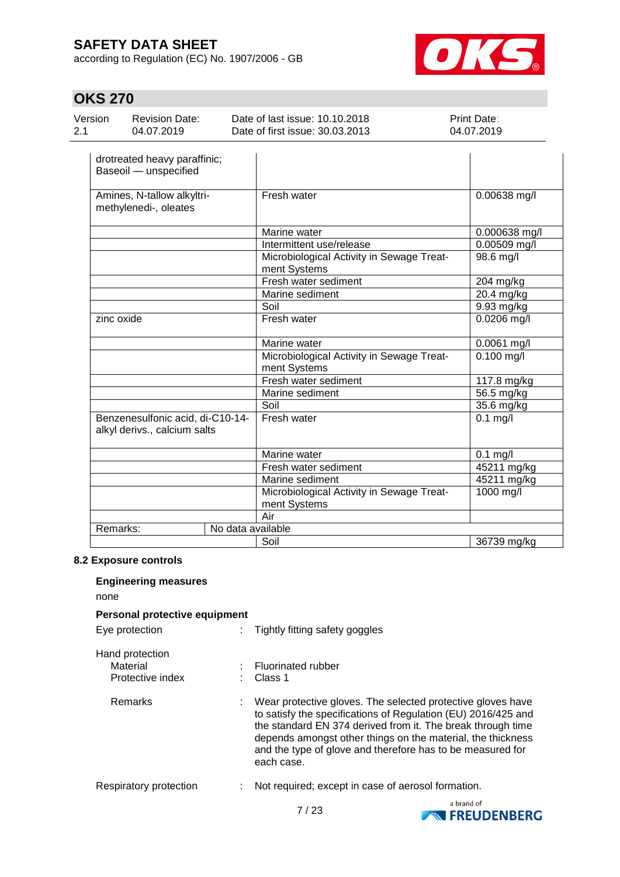according to Regulation (EC) No. 1907/2006 - GB



# **OKS 270**

| 04.07.2019 | Version<br>$-2.1$ | <b>Revision Date:</b> | Date of last issue: 10.10.2018<br>Date of first issue: 30.03.2013 | <b>Print Date:</b><br>04.07.2019 |
|------------|-------------------|-----------------------|-------------------------------------------------------------------|----------------------------------|
|------------|-------------------|-----------------------|-------------------------------------------------------------------|----------------------------------|

| drotreated heavy paraffinic;<br>Baseoil - unspecified            |                                                           |                         |
|------------------------------------------------------------------|-----------------------------------------------------------|-------------------------|
| Amines, N-tallow alkyltri-<br>methylenedi-, oleates              | Fresh water                                               | 0.00638 mg/l            |
|                                                                  | Marine water                                              | 0.000638 mg/l           |
|                                                                  | Intermittent use/release                                  | 0.00509 mg/l            |
|                                                                  | Microbiological Activity in Sewage Treat-<br>ment Systems | 98.6 mg/l               |
|                                                                  | Fresh water sediment                                      | 204 mg/kg               |
|                                                                  | Marine sediment                                           | 20.4 mg/kg              |
|                                                                  | Soil                                                      | 9.93 mg/kg              |
| zinc oxide                                                       | Fresh water                                               | 0.0206 mg/l             |
|                                                                  | Marine water                                              | 0.0061 mg/l             |
|                                                                  | Microbiological Activity in Sewage Treat-<br>ment Systems | $\overline{0.100}$ mg/l |
|                                                                  | Fresh water sediment                                      | 117.8 mg/kg             |
|                                                                  | Marine sediment                                           | 56.5 mg/kg              |
|                                                                  | Soil                                                      | 35.6 mg/kg              |
| Benzenesulfonic acid, di-C10-14-<br>alkyl derivs., calcium salts | Fresh water                                               | $0.1$ mg/l              |
|                                                                  | Marine water                                              | $0.1$ mg/l              |
|                                                                  | Fresh water sediment                                      | 45211 mg/kg             |
|                                                                  | Marine sediment                                           | 45211 mg/kg             |
|                                                                  | Microbiological Activity in Sewage Treat-<br>ment Systems | 1000 mg/l               |
|                                                                  | Air                                                       |                         |
| Remarks:<br>No data available                                    |                                                           |                         |
|                                                                  | Soil                                                      | 36739 mg/kg             |

#### **8.2 Exposure controls**

| <b>Engineering measures</b>                     |                                                                                                                                                                                                                                                                                                                                        |  |
|-------------------------------------------------|----------------------------------------------------------------------------------------------------------------------------------------------------------------------------------------------------------------------------------------------------------------------------------------------------------------------------------------|--|
| none                                            |                                                                                                                                                                                                                                                                                                                                        |  |
| Personal protective equipment                   |                                                                                                                                                                                                                                                                                                                                        |  |
| Eye protection                                  | Tightly fitting safety goggles                                                                                                                                                                                                                                                                                                         |  |
| Hand protection<br>Material<br>Protective index | : Fluorinated rubber<br>Class 1                                                                                                                                                                                                                                                                                                        |  |
| Remarks                                         | Wear protective gloves. The selected protective gloves have<br>to satisfy the specifications of Regulation (EU) 2016/425 and<br>the standard EN 374 derived from it. The break through time<br>depends amongst other things on the material, the thickness<br>and the type of glove and therefore has to be measured for<br>each case. |  |
| Respiratory protection                          | Not required; except in case of aerosol formation.                                                                                                                                                                                                                                                                                     |  |

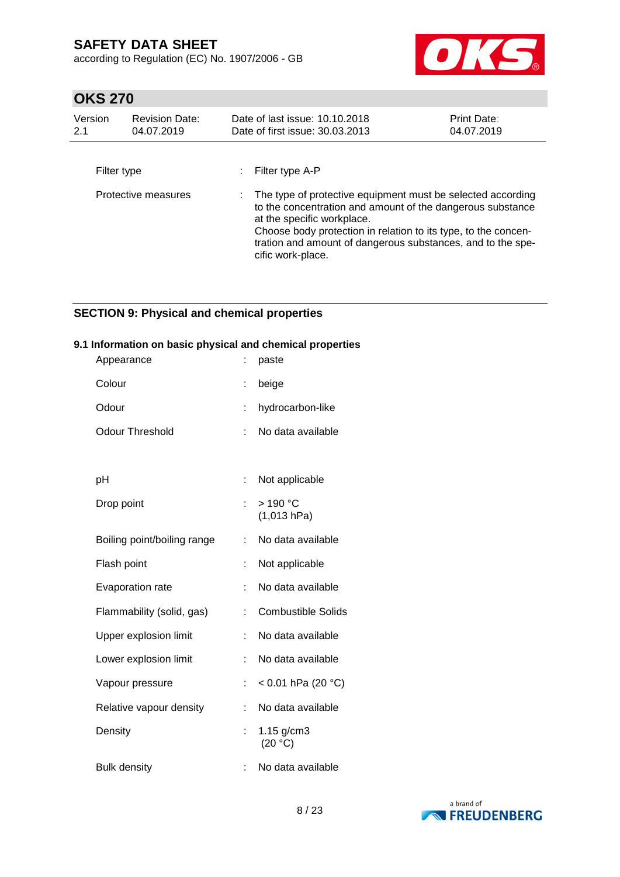according to Regulation (EC) No. 1907/2006 - GB



# **OKS 270**

| Version<br>2.1 | <b>Revision Date:</b><br>04.07.2019 | Date of last issue: 10.10.2018<br>Date of first issue: 30.03.2013                                                                                                                                                                                                                                             | Print Date:<br>04.07.2019 |
|----------------|-------------------------------------|---------------------------------------------------------------------------------------------------------------------------------------------------------------------------------------------------------------------------------------------------------------------------------------------------------------|---------------------------|
| Filter type    |                                     | Filter type A-P                                                                                                                                                                                                                                                                                               |                           |
|                | Protective measures                 | The type of protective equipment must be selected according<br>to the concentration and amount of the dangerous substance<br>at the specific workplace.<br>Choose body protection in relation to its type, to the concen-<br>tration and amount of dangerous substances, and to the spe-<br>cific work-place. |                           |

### **SECTION 9: Physical and chemical properties**

### **9.1 Information on basic physical and chemical properties**

| Appearance                  |    | paste                     |
|-----------------------------|----|---------------------------|
| Colour                      |    | beige                     |
| Odour                       | İ. | hydrocarbon-like          |
| Odour Threshold             |    | No data available         |
|                             |    |                           |
| рH                          |    | Not applicable            |
| Drop point                  | ÷. | $>190$ °C<br>(1,013 hPa)  |
| Boiling point/boiling range | ÷  | No data available         |
| Flash point                 |    | Not applicable            |
| <b>Evaporation rate</b>     | t  | No data available         |
| Flammability (solid, gas)   | t  | <b>Combustible Solids</b> |
| Upper explosion limit       | ÷. | No data available         |
| Lower explosion limit       | t  | No data available         |
| Vapour pressure             |    | < 0.01 hPa (20 °C)        |
| Relative vapour density     | t  | No data available         |
| Density                     |    | $1.15$ g/cm3<br>(20 °C)   |
| <b>Bulk density</b>         |    | No data available         |

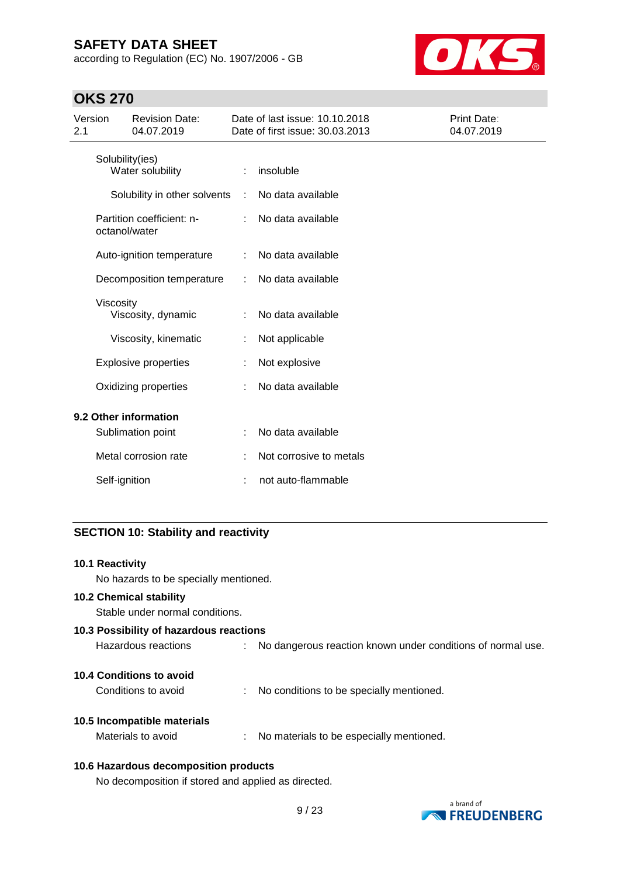according to Regulation (EC) No. 1907/2006 - GB



# **OKS 270**

| Version<br><b>Revision Date:</b><br>2.1<br>04.07.2019 |                                   | Date of last issue: 10.10.2018<br>Date of first issue: 30.03.2013 | Print Date:<br>04.07.2019 |
|-------------------------------------------------------|-----------------------------------|-------------------------------------------------------------------|---------------------------|
| Solubility(ies)<br>Water solubility                   |                                   | insoluble                                                         |                           |
|                                                       | Solubility in other solvents<br>÷ | No data available                                                 |                           |
| Partition coefficient: n-<br>octanol/water            |                                   | No data available                                                 |                           |
| Auto-ignition temperature                             |                                   | No data available                                                 |                           |
| Decomposition temperature                             |                                   | No data available                                                 |                           |
| Viscosity<br>Viscosity, dynamic                       |                                   | No data available                                                 |                           |
| Viscosity, kinematic                                  |                                   | Not applicable                                                    |                           |
| <b>Explosive properties</b>                           |                                   | Not explosive                                                     |                           |
| Oxidizing properties                                  |                                   | No data available                                                 |                           |
| 9.2 Other information                                 |                                   |                                                                   |                           |
| Sublimation point                                     |                                   | No data available                                                 |                           |
| Metal corrosion rate                                  |                                   | Not corrosive to metals                                           |                           |
| Self-ignition                                         |                                   | not auto-flammable                                                |                           |

### **SECTION 10: Stability and reactivity**

| <b>10.1 Reactivity</b>                                                             |
|------------------------------------------------------------------------------------|
| No hazards to be specially mentioned.                                              |
| <b>10.2 Chemical stability</b>                                                     |
| Stable under normal conditions.                                                    |
| 10.3 Possibility of hazardous reactions                                            |
| Hazardous reactions<br>No dangerous reaction known under conditions of normal use. |
| 10.4 Conditions to avoid                                                           |
| Conditions to avoid<br>No conditions to be specially mentioned.                    |
| 10.5 Incompatible materials                                                        |
| Materials to avoid<br>No materials to be especially mentioned.                     |
| 10.6 Hazardous decomposition products                                              |

No decomposition if stored and applied as directed.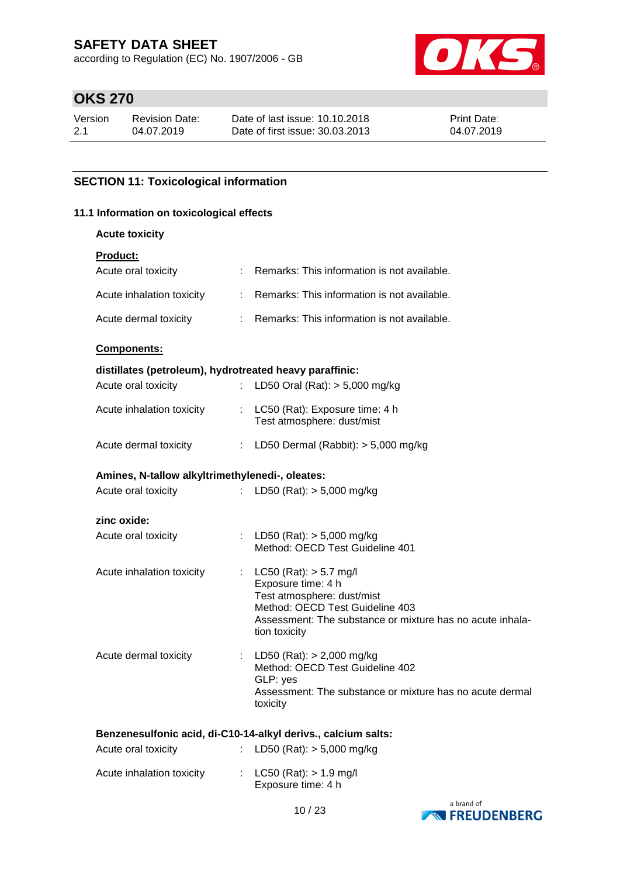according to Regulation (EC) No. 1907/2006 - GB



# **OKS 270**

| Version | <b>Revision Date:</b> | Date of last issue: 10.10.2018  | <b>Print Date:</b> |
|---------|-----------------------|---------------------------------|--------------------|
| 2.1     | 04.07.2019            | Date of first issue: 30.03.2013 | 04.07.2019         |

### **SECTION 11: Toxicological information**

#### **11.1 Information on toxicological effects**

#### **Acute toxicity**

| Product: |  |
|----------|--|
|          |  |

| Acute oral toxicity                                     | ÷  | Remarks: This information is not available. |  |
|---------------------------------------------------------|----|---------------------------------------------|--|
| Acute inhalation toxicity                               | ÷. | Remarks: This information is not available. |  |
| Acute dermal toxicity                                   |    | Remarks: This information is not available. |  |
| <b>Components:</b>                                      |    |                                             |  |
| distillates (petroleum), hydrotreated heavy paraffinic: |    |                                             |  |

# Acute oral toxicity : LD50 Oral (Rat): > 5,000 mg/kg Acute inhalation toxicity : LC50 (Rat): Exposure time: 4 h Test atmosphere: dust/mist

| Acute dermal toxicity | LD50 Dermal (Rabbit): > 5,000 mg/kg |  |
|-----------------------|-------------------------------------|--|

| Amines, N-tallow alkyltrimethylenedi-, oleates: |  |                                                                                                                                                                                                   |  |  |  |
|-------------------------------------------------|--|---------------------------------------------------------------------------------------------------------------------------------------------------------------------------------------------------|--|--|--|
| Acute oral toxicity                             |  | : LD50 (Rat): $>$ 5,000 mg/kg                                                                                                                                                                     |  |  |  |
| zinc oxide:                                     |  |                                                                                                                                                                                                   |  |  |  |
| Acute oral toxicity                             |  | : LD50 (Rat): $>$ 5,000 mg/kg<br>Method: OECD Test Guideline 401                                                                                                                                  |  |  |  |
| Acute inhalation toxicity                       |  | : $LC50$ (Rat): $> 5.7$ mg/l<br>Exposure time: 4 h<br>Test atmosphere: dust/mist<br>Method: OECD Test Guideline 403<br>Assessment: The substance or mixture has no acute inhala-<br>tion toxicity |  |  |  |
| Acute dermal toxicity                           |  | : LD50 (Rat): $> 2,000$ mg/kg<br>Method: OECD Test Guideline 402<br>GLP: yes<br>Assessment: The substance or mixture has no acute dermal                                                          |  |  |  |

### **Benzenesulfonic acid, di-C10-14-alkyl derivs., calcium salts:**

toxicity

| Acute oral toxicity       | : LD50 (Rat): $>$ 5,000 mg/kg                      |
|---------------------------|----------------------------------------------------|
| Acute inhalation toxicity | : $LC50$ (Rat): $> 1.9$ mg/l<br>Exposure time: 4 h |

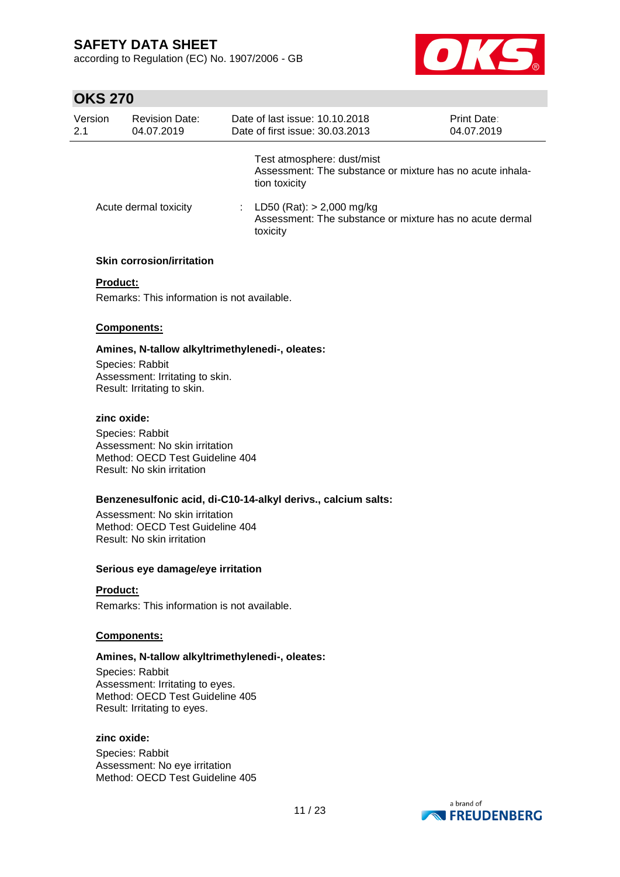according to Regulation (EC) No. 1907/2006 - GB



### **OKS 270**

| Version<br>2.1 | <b>Revision Date:</b><br>04.07.2019 | Date of last issue: 10.10.2018<br>Date of first issue: 30.03.2013                                        | <b>Print Date:</b><br>04.07.2019 |
|----------------|-------------------------------------|----------------------------------------------------------------------------------------------------------|----------------------------------|
|                |                                     | Test atmosphere: dust/mist<br>Assessment: The substance or mixture has no acute inhala-<br>tion toxicity |                                  |
|                | Acute dermal toxicity               | : LD50 (Rat): $> 2,000$ mg/kg<br>Assessment: The substance or mixture has no acute dermal<br>toxicity    |                                  |
|                | <b>Skin corrosion/irritation</b>    |                                                                                                          |                                  |

#### **Product:**

Remarks: This information is not available.

#### **Components:**

**Amines, N-tallow alkyltrimethylenedi-, oleates:** Species: Rabbit

Assessment: Irritating to skin. Result: Irritating to skin.

#### **zinc oxide:**

Species: Rabbit Assessment: No skin irritation Method: OECD Test Guideline 404 Result: No skin irritation

#### **Benzenesulfonic acid, di-C10-14-alkyl derivs., calcium salts:**

Assessment: No skin irritation Method: OECD Test Guideline 404 Result: No skin irritation

#### **Serious eye damage/eye irritation**

### **Product:**

Remarks: This information is not available.

#### **Components:**

#### **Amines, N-tallow alkyltrimethylenedi-, oleates:**

Species: Rabbit Assessment: Irritating to eyes. Method: OECD Test Guideline 405 Result: Irritating to eyes.

#### **zinc oxide:**

Species: Rabbit Assessment: No eye irritation Method: OECD Test Guideline 405

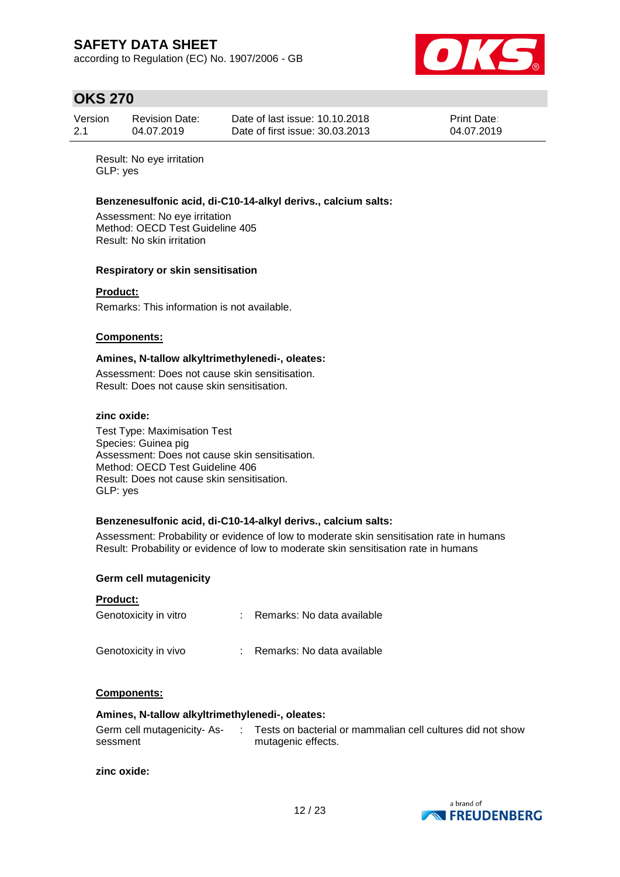according to Regulation (EC) No. 1907/2006 - GB



### **OKS 270**

| Version | <b>Revision Date:</b> | Date of last issue: 10.10.2018  | <b>Print Date:</b> |
|---------|-----------------------|---------------------------------|--------------------|
| 2.1     | 04.07.2019            | Date of first issue: 30.03.2013 | 04.07.2019         |

Result: No eye irritation GLP: yes

#### **Benzenesulfonic acid, di-C10-14-alkyl derivs., calcium salts:**

Assessment: No eye irritation Method: OECD Test Guideline 405 Result: No skin irritation

#### **Respiratory or skin sensitisation**

#### **Product:**

Remarks: This information is not available.

#### **Components:**

#### **Amines, N-tallow alkyltrimethylenedi-, oleates:**

Assessment: Does not cause skin sensitisation. Result: Does not cause skin sensitisation.

#### **zinc oxide:**

Test Type: Maximisation Test Species: Guinea pig Assessment: Does not cause skin sensitisation. Method: OECD Test Guideline 406 Result: Does not cause skin sensitisation. GLP: yes

#### **Benzenesulfonic acid, di-C10-14-alkyl derivs., calcium salts:**

Assessment: Probability or evidence of low to moderate skin sensitisation rate in humans Result: Probability or evidence of low to moderate skin sensitisation rate in humans

#### **Germ cell mutagenicity**

#### **Product:**

| Genotoxicity in vitro | : Remarks: No data available |
|-----------------------|------------------------------|
| Genotoxicity in vivo  | : Remarks: No data available |

#### **Components:**

#### **Amines, N-tallow alkyltrimethylenedi-, oleates:**

| Germ cell mutagenicity-As- | Tests on bacterial or mammalian cell cultures did not show |
|----------------------------|------------------------------------------------------------|
| sessment                   | mutagenic effects.                                         |

#### **zinc oxide:**

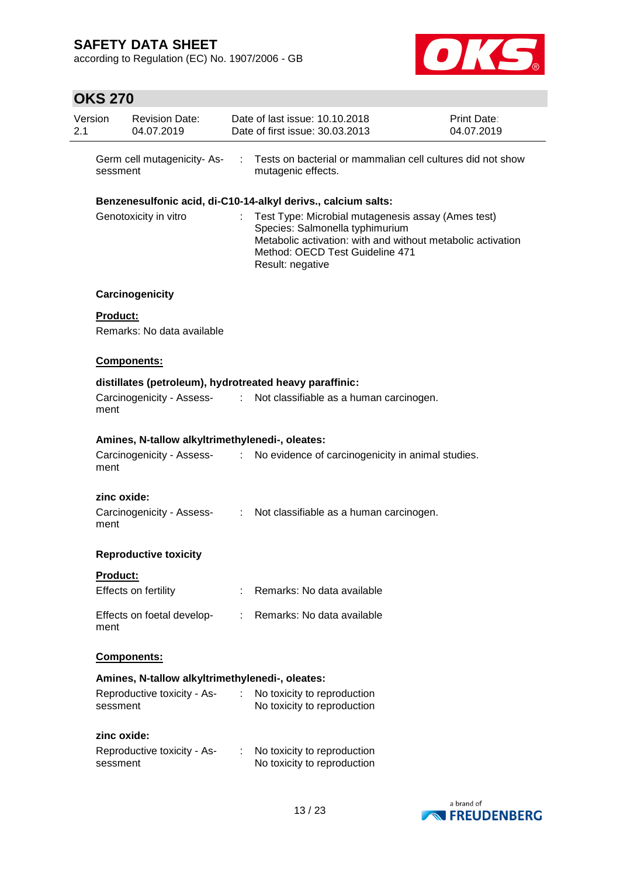according to Regulation (EC) No. 1907/2006 - GB



# **OKS 270**

| Version<br>2.1 |                 | <b>Revision Date:</b><br>04.07.2019             |                               | Date of last issue: 10.10.2018<br>Date of first issue: 30.03.2013                                                                                                                                           | Print Date:<br>04.07.2019 |
|----------------|-----------------|-------------------------------------------------|-------------------------------|-------------------------------------------------------------------------------------------------------------------------------------------------------------------------------------------------------------|---------------------------|
|                | sessment        | Germ cell mutagenicity- As-                     | ÷                             | Tests on bacterial or mammalian cell cultures did not show<br>mutagenic effects.                                                                                                                            |                           |
|                |                 |                                                 |                               | Benzenesulfonic acid, di-C10-14-alkyl derivs., calcium salts:                                                                                                                                               |                           |
|                |                 | Genotoxicity in vitro                           |                               | Test Type: Microbial mutagenesis assay (Ames test)<br>Species: Salmonella typhimurium<br>Metabolic activation: with and without metabolic activation<br>Method: OECD Test Guideline 471<br>Result: negative |                           |
|                |                 | Carcinogenicity                                 |                               |                                                                                                                                                                                                             |                           |
|                | <b>Product:</b> | Remarks: No data available                      |                               |                                                                                                                                                                                                             |                           |
|                |                 | <b>Components:</b>                              |                               |                                                                                                                                                                                                             |                           |
|                |                 |                                                 |                               | distillates (petroleum), hydrotreated heavy paraffinic:                                                                                                                                                     |                           |
|                | ment            | Carcinogenicity - Assess-                       |                               | : Not classifiable as a human carcinogen.                                                                                                                                                                   |                           |
|                |                 | Amines, N-tallow alkyltrimethylenedi-, oleates: |                               |                                                                                                                                                                                                             |                           |
|                | ment            | Carcinogenicity - Assess-<br>:                  |                               | No evidence of carcinogenicity in animal studies.                                                                                                                                                           |                           |
|                | zinc oxide:     |                                                 |                               |                                                                                                                                                                                                             |                           |
|                | ment            | Carcinogenicity - Assess-                       | $\mathcal{L}^{\mathcal{L}}$ . | Not classifiable as a human carcinogen.                                                                                                                                                                     |                           |
|                |                 | <b>Reproductive toxicity</b>                    |                               |                                                                                                                                                                                                             |                           |
|                | Product:        |                                                 |                               |                                                                                                                                                                                                             |                           |
|                |                 | Effects on fertility                            |                               | Remarks: No data available                                                                                                                                                                                  |                           |
|                | ment            | Effects on foetal develop-                      |                               | : Remarks: No data available                                                                                                                                                                                |                           |
|                |                 | <b>Components:</b>                              |                               |                                                                                                                                                                                                             |                           |
|                |                 | Amines, N-tallow alkyltrimethylenedi-, oleates: |                               |                                                                                                                                                                                                             |                           |
|                | sessment        | Reproductive toxicity - As-                     | ÷.                            | No toxicity to reproduction<br>No toxicity to reproduction                                                                                                                                                  |                           |
|                | zinc oxide:     |                                                 |                               |                                                                                                                                                                                                             |                           |
|                | sessment        | Reproductive toxicity - As-                     | ÷.                            | No toxicity to reproduction<br>No toxicity to reproduction                                                                                                                                                  |                           |

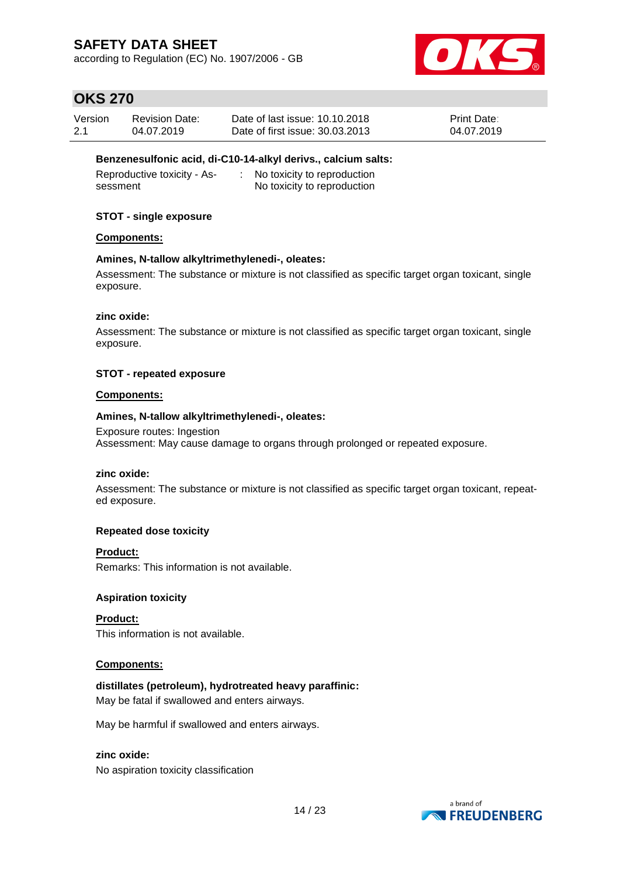according to Regulation (EC) No. 1907/2006 - GB



# **OKS 270**

| Version | <b>Revision Date:</b> | Date of last issue: 10.10.2018  | <b>Print Date:</b> |
|---------|-----------------------|---------------------------------|--------------------|
| 2.1     | 04.07.2019            | Date of first issue: 30.03.2013 | 04.07.2019         |

#### **Benzenesulfonic acid, di-C10-14-alkyl derivs., calcium salts:**

| Reproductive toxicity - As- | No toxicity to reproduction |
|-----------------------------|-----------------------------|
| sessment                    | No toxicity to reproduction |

### **STOT - single exposure**

#### **Components:**

#### **Amines, N-tallow alkyltrimethylenedi-, oleates:**

Assessment: The substance or mixture is not classified as specific target organ toxicant, single exposure.

#### **zinc oxide:**

Assessment: The substance or mixture is not classified as specific target organ toxicant, single exposure.

### **STOT - repeated exposure**

#### **Components:**

#### **Amines, N-tallow alkyltrimethylenedi-, oleates:**

Exposure routes: Ingestion Assessment: May cause damage to organs through prolonged or repeated exposure.

#### **zinc oxide:**

Assessment: The substance or mixture is not classified as specific target organ toxicant, repeated exposure.

#### **Repeated dose toxicity**

#### **Product:**

Remarks: This information is not available.

#### **Aspiration toxicity**

**Product:** This information is not available.

#### **Components:**

### **distillates (petroleum), hydrotreated heavy paraffinic:**

May be fatal if swallowed and enters airways.

May be harmful if swallowed and enters airways.

#### **zinc oxide:**

No aspiration toxicity classification

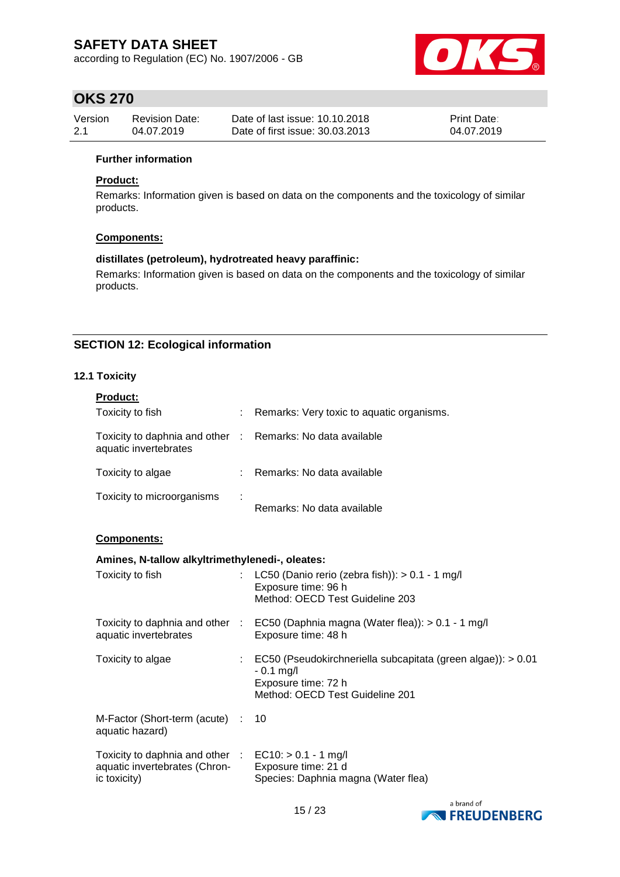according to Regulation (EC) No. 1907/2006 - GB



### **OKS 270**

| Version | <b>Revision Date:</b> | Date of last issue: 10.10.2018  | <b>Print Date:</b> |
|---------|-----------------------|---------------------------------|--------------------|
| 2.1     | 04.07.2019            | Date of first issue: 30.03.2013 | 04.07.2019         |

#### **Further information**

#### **Product:**

Remarks: Information given is based on data on the components and the toxicology of similar products.

#### **Components:**

#### **distillates (petroleum), hydrotreated heavy paraffinic:**

Remarks: Information given is based on data on the components and the toxicology of similar products.

### **SECTION 12: Ecological information**

#### **12.1 Toxicity**

| <b>Product:</b>                                                                                                  |                                                                                                                                         |
|------------------------------------------------------------------------------------------------------------------|-----------------------------------------------------------------------------------------------------------------------------------------|
| Toxicity to fish                                                                                                 | Remarks: Very toxic to aquatic organisms.                                                                                               |
| Toxicity to daphnia and other : Remarks: No data available<br>aquatic invertebrates                              |                                                                                                                                         |
| Toxicity to algae                                                                                                | : Remarks: No data available                                                                                                            |
| Toxicity to microorganisms                                                                                       | Remarks: No data available                                                                                                              |
| Components:                                                                                                      |                                                                                                                                         |
| Amines, N-tallow alkyltrimethylenedi-, oleates:                                                                  |                                                                                                                                         |
| Toxicity to fish                                                                                                 | LC50 (Danio rerio (zebra fish)): $> 0.1 - 1$ mg/l<br>Exposure time: 96 h<br>Method: OECD Test Guideline 203                             |
| aquatic invertebrates                                                                                            | Toxicity to daphnia and other : EC50 (Daphnia magna (Water flea)): > 0.1 - 1 mg/l<br>Exposure time: 48 h                                |
| Toxicity to algae                                                                                                | : EC50 (Pseudokirchneriella subcapitata (green algae)): > 0.01<br>$-0.1$ mg/l<br>Exposure time: 72 h<br>Method: OECD Test Guideline 201 |
| M-Factor (Short-term (acute) :<br>aquatic hazard)                                                                | 10                                                                                                                                      |
| Toxicity to daphnia and other $\therefore$ EC10: > 0.1 - 1 mg/l<br>aquatic invertebrates (Chron-<br>ic toxicity) | Exposure time: 21 d<br>Species: Daphnia magna (Water flea)                                                                              |

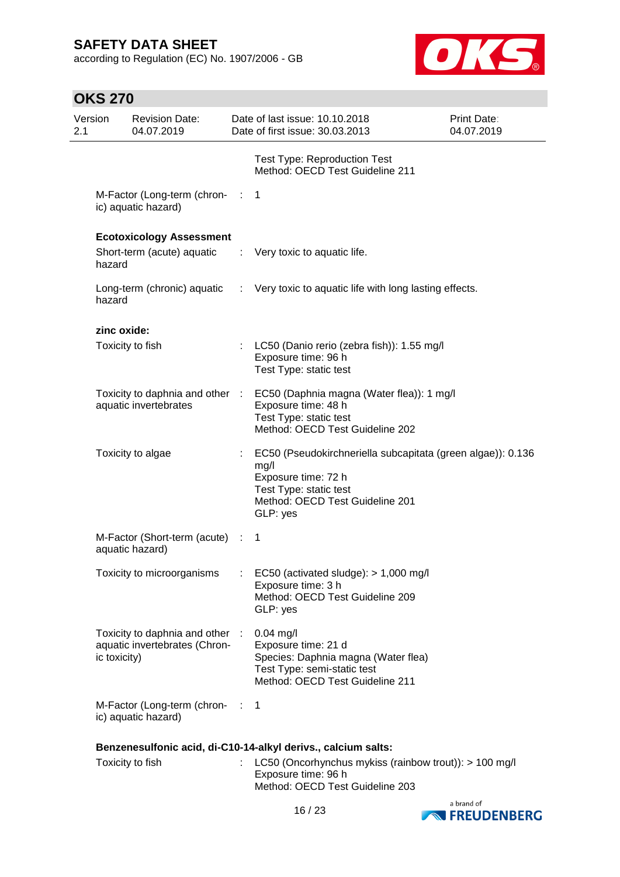according to Regulation (EC) No. 1907/2006 - GB



# **OKS 270**

| Version<br>2.1 |              | <b>Revision Date:</b><br>04.07.2019                            |      | Date of last issue: 10.10.2018<br>Date of first issue: 30.03.2013                                                                                                   | <b>Print Date:</b><br>04.07.2019 |
|----------------|--------------|----------------------------------------------------------------|------|---------------------------------------------------------------------------------------------------------------------------------------------------------------------|----------------------------------|
|                |              |                                                                |      | <b>Test Type: Reproduction Test</b><br>Method: OECD Test Guideline 211                                                                                              |                                  |
|                |              | M-Factor (Long-term (chron- :<br>ic) aquatic hazard)           |      | $\mathbf 1$                                                                                                                                                         |                                  |
|                |              | <b>Ecotoxicology Assessment</b>                                |      |                                                                                                                                                                     |                                  |
|                | hazard       | Short-term (acute) aquatic                                     |      | $\therefore$ Very toxic to aquatic life.                                                                                                                            |                                  |
|                | hazard       |                                                                |      | Long-term (chronic) aquatic : Very toxic to aquatic life with long lasting effects.                                                                                 |                                  |
|                | zinc oxide:  |                                                                |      |                                                                                                                                                                     |                                  |
|                |              | Toxicity to fish                                               |      | LC50 (Danio rerio (zebra fish)): 1.55 mg/l<br>Exposure time: 96 h<br>Test Type: static test                                                                         |                                  |
|                |              | Toxicity to daphnia and other :<br>aquatic invertebrates       |      | EC50 (Daphnia magna (Water flea)): 1 mg/l<br>Exposure time: 48 h<br>Test Type: static test<br>Method: OECD Test Guideline 202                                       |                                  |
|                |              | Toxicity to algae                                              | ÷.   | EC50 (Pseudokirchneriella subcapitata (green algae)): 0.136<br>mg/l<br>Exposure time: 72 h<br>Test Type: static test<br>Method: OECD Test Guideline 201<br>GLP: yes |                                  |
|                |              | M-Factor (Short-term (acute) :<br>aquatic hazard)              |      | -1                                                                                                                                                                  |                                  |
|                |              | Toxicity to microorganisms                                     |      | EC50 (activated sludge): > 1,000 mg/l<br>Exposure time: 3 h<br>Method: OECD Test Guideline 209<br>GLP: yes                                                          |                                  |
|                | ic toxicity) | Toxicity to daphnia and other<br>aquatic invertebrates (Chron- |      | $0.04$ mg/l<br>Exposure time: 21 d<br>Species: Daphnia magna (Water flea)<br>Test Type: semi-static test<br>Method: OECD Test Guideline 211                         |                                  |
|                |              | M-Factor (Long-term (chron-<br>ic) aquatic hazard)             | - 11 | 1                                                                                                                                                                   |                                  |
|                |              |                                                                |      | Benzenesulfonic acid, di-C10-14-alkyl derivs., calcium salts:                                                                                                       |                                  |
|                |              | Toxicity to fish                                               |      | LC50 (Oncorhynchus mykiss (rainbow trout)): > 100 mg/l<br>Exposure time: 96 h<br>Method: OECD Test Guideline 203                                                    |                                  |

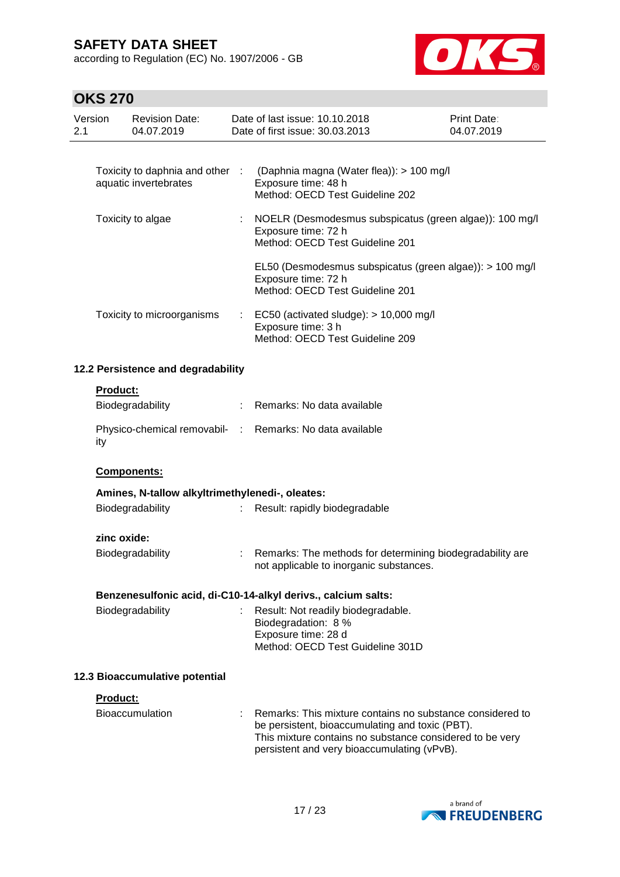according to Regulation (EC) No. 1907/2006 - GB



# **OKS 270**

|     | 17 F I A                       |                                                          |    |                                                                                                                                                                                                                         |                           |
|-----|--------------------------------|----------------------------------------------------------|----|-------------------------------------------------------------------------------------------------------------------------------------------------------------------------------------------------------------------------|---------------------------|
| 2.1 | Version                        | <b>Revision Date:</b><br>04.07.2019                      |    | Date of last issue: 10.10.2018<br>Date of first issue: 30.03.2013                                                                                                                                                       | Print Date:<br>04.07.2019 |
|     |                                |                                                          |    |                                                                                                                                                                                                                         |                           |
|     |                                | Toxicity to daphnia and other :<br>aquatic invertebrates |    | (Daphnia magna (Water flea)): > 100 mg/l<br>Exposure time: 48 h<br>Method: OECD Test Guideline 202                                                                                                                      |                           |
|     |                                | Toxicity to algae                                        |    | NOELR (Desmodesmus subspicatus (green algae)): 100 mg/l<br>Exposure time: 72 h<br>Method: OECD Test Guideline 201                                                                                                       |                           |
|     |                                |                                                          |    | EL50 (Desmodesmus subspicatus (green algae)): > 100 mg/l<br>Exposure time: 72 h<br>Method: OECD Test Guideline 201                                                                                                      |                           |
|     |                                | Toxicity to microorganisms                               | ÷  | EC50 (activated sludge): $> 10,000$ mg/l<br>Exposure time: 3 h<br>Method: OECD Test Guideline 209                                                                                                                       |                           |
|     |                                | 12.2 Persistence and degradability                       |    |                                                                                                                                                                                                                         |                           |
|     | <b>Product:</b>                |                                                          |    |                                                                                                                                                                                                                         |                           |
|     |                                | Biodegradability                                         |    | Remarks: No data available                                                                                                                                                                                              |                           |
|     | ity                            |                                                          |    | Physico-chemical removabil- : Remarks: No data available                                                                                                                                                                |                           |
|     |                                | Components:                                              |    |                                                                                                                                                                                                                         |                           |
|     |                                | Amines, N-tallow alkyltrimethylenedi-, oleates:          |    |                                                                                                                                                                                                                         |                           |
|     |                                | Biodegradability                                         |    | Result: rapidly biodegradable                                                                                                                                                                                           |                           |
|     | zinc oxide:                    |                                                          |    |                                                                                                                                                                                                                         |                           |
|     |                                | Biodegradability                                         | ÷. | Remarks: The methods for determining biodegradability are<br>not applicable to inorganic substances.                                                                                                                    |                           |
|     |                                |                                                          |    | Benzenesulfonic acid, di-C10-14-alkyl derivs., calcium salts:                                                                                                                                                           |                           |
|     |                                | Biodegradability                                         |    | Result: Not readily biodegradable.<br>Biodegradation: 8 %<br>Exposure time: 28 d<br>Method: OECD Test Guideline 301D                                                                                                    |                           |
|     | 12.3 Bioaccumulative potential |                                                          |    |                                                                                                                                                                                                                         |                           |
|     | Product:                       |                                                          |    |                                                                                                                                                                                                                         |                           |
|     |                                | Bioaccumulation                                          |    | Remarks: This mixture contains no substance considered to<br>be persistent, bioaccumulating and toxic (PBT).<br>This mixture contains no substance considered to be very<br>persistent and very bioaccumulating (vPvB). |                           |

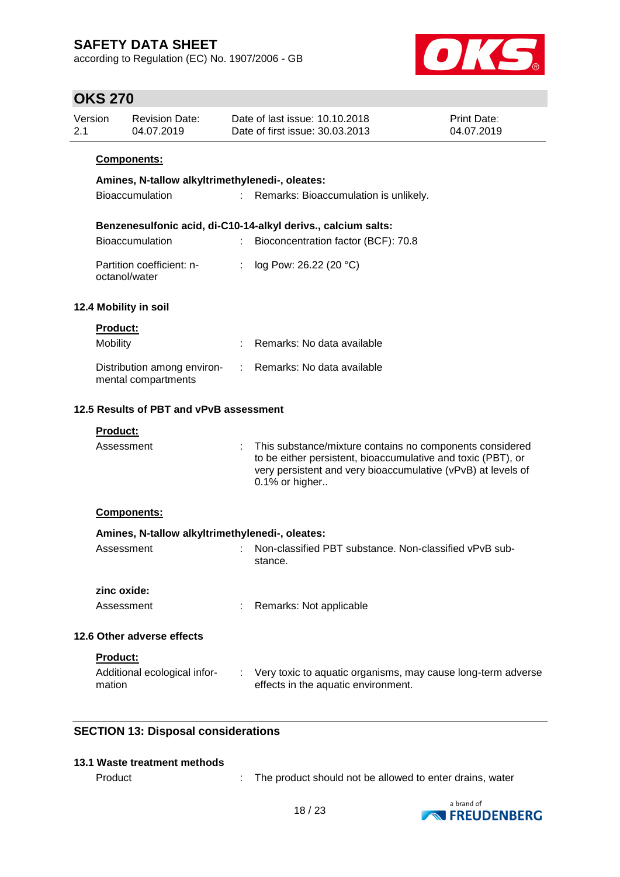according to Regulation (EC) No. 1907/2006 - GB



### **OKS 270**

| Version | Revision Date: | Date of last issue: 10.10.2018  | <b>Print Date:</b> |
|---------|----------------|---------------------------------|--------------------|
| 2.1     | 04.07.2019     | Date of first issue: 30.03.2013 | 04.07.2019         |
|         |                |                                 |                    |

### **Components:**

| Amines, N-tallow alkyltrimethylenedi-, oleates: |  |                                       |  |  |
|-------------------------------------------------|--|---------------------------------------|--|--|
| <b>Bioaccumulation</b>                          |  | Remarks: Bioaccumulation is unlikely. |  |  |

#### **Benzenesulfonic acid, di-C10-14-alkyl derivs., calcium salts:**

| <b>Bioaccumulation</b>                     | Bioconcentration factor (BCF): 70.8 |
|--------------------------------------------|-------------------------------------|
| Partition coefficient: n-<br>octanol/water | : $log Pow: 26.22 (20 °C)$          |

#### **12.4 Mobility in soil**

| <b>Product:</b>                                    |                              |
|----------------------------------------------------|------------------------------|
| <b>Mobility</b>                                    | Remarks: No data available   |
| Distribution among environ-<br>mental compartments | : Remarks: No data available |

### **12.5 Results of PBT and vPvB assessment**

| Product: |  |
|----------|--|
|          |  |

| Assessment |  | : This substance/mixture contains no components considered<br>to be either persistent, bioaccumulative and toxic (PBT), or<br>very persistent and very bioaccumulative (vPvB) at levels of<br>$0.1\%$ or higher |
|------------|--|-----------------------------------------------------------------------------------------------------------------------------------------------------------------------------------------------------------------|
|------------|--|-----------------------------------------------------------------------------------------------------------------------------------------------------------------------------------------------------------------|

#### **Components:**

|                                        | Amines, N-tallow alkyltrimethylenedi-, oleates:                                                     |
|----------------------------------------|-----------------------------------------------------------------------------------------------------|
| Assessment                             | Non-classified PBT substance. Non-classified vPvB sub-<br>stance.                                   |
| zinc oxide:                            |                                                                                                     |
| Assessment                             | Remarks: Not applicable                                                                             |
| 12.6 Other adverse effects             |                                                                                                     |
| <b>Product:</b>                        |                                                                                                     |
| Additional ecological infor-<br>mation | Very toxic to aquatic organisms, may cause long-term adverse<br>effects in the aquatic environment. |

### **SECTION 13: Disposal considerations**

#### **13.1 Waste treatment methods**

Product : The product should not be allowed to enter drains, water

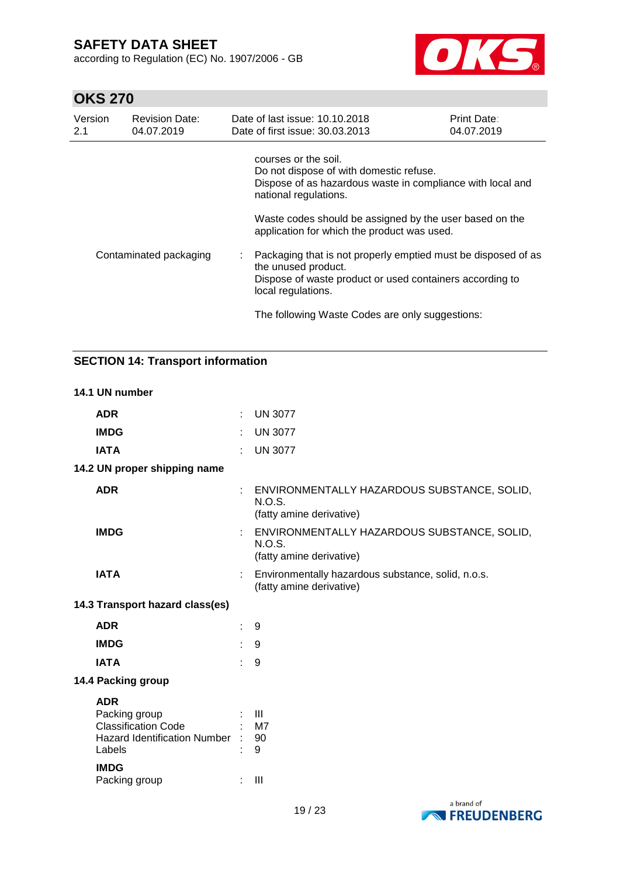according to Regulation (EC) No. 1907/2006 - GB



# **OKS 270**

| Version<br>2.1         | <b>Revision Date:</b><br>04.07.2019 | Date of last issue: 10.10.2018<br>Date of first issue: 30.03.2013                                                                                                                                                     | <b>Print Date:</b><br>04.07.2019 |  |  |
|------------------------|-------------------------------------|-----------------------------------------------------------------------------------------------------------------------------------------------------------------------------------------------------------------------|----------------------------------|--|--|
| Contaminated packaging |                                     | courses or the soil.<br>Do not dispose of with domestic refuse.<br>Dispose of as hazardous waste in compliance with local and<br>national regulations.<br>Waste codes should be assigned by the user based on the     |                                  |  |  |
|                        |                                     | application for which the product was used.<br>Packaging that is not properly emptied must be disposed of as<br>the unused product.<br>Dispose of waste product or used containers according to<br>local regulations. |                                  |  |  |
|                        |                                     | The following Waste Codes are only suggestions:                                                                                                                                                                       |                                  |  |  |

### **SECTION 14: Transport information**

### **14.1 UN number ADR** : UN 3077 **IMDG** : UN 3077 **IATA** : UN 3077 **14.2 UN proper shipping name ADR** : ENVIRONMENTALLY HAZARDOUS SUBSTANCE, SOLID, N.O.S. (fatty amine derivative) **IMDG** : ENVIRONMENTALLY HAZARDOUS SUBSTANCE, SOLID, N.O.S. (fatty amine derivative) **IATA** : Environmentally hazardous substance, solid, n.o.s. (fatty amine derivative) **14.3 Transport hazard class(es) ADR** : 9 **IMDG** : 9 **IATA** : 9 **14.4 Packing group ADR**<br>Packing group Packing group the set of the set of the set of the set of the set of the set of the set of the set of the set o Classification Code : M7 Hazard Identification Number : 90 Labels : 9 **IMDG** Packing group : III

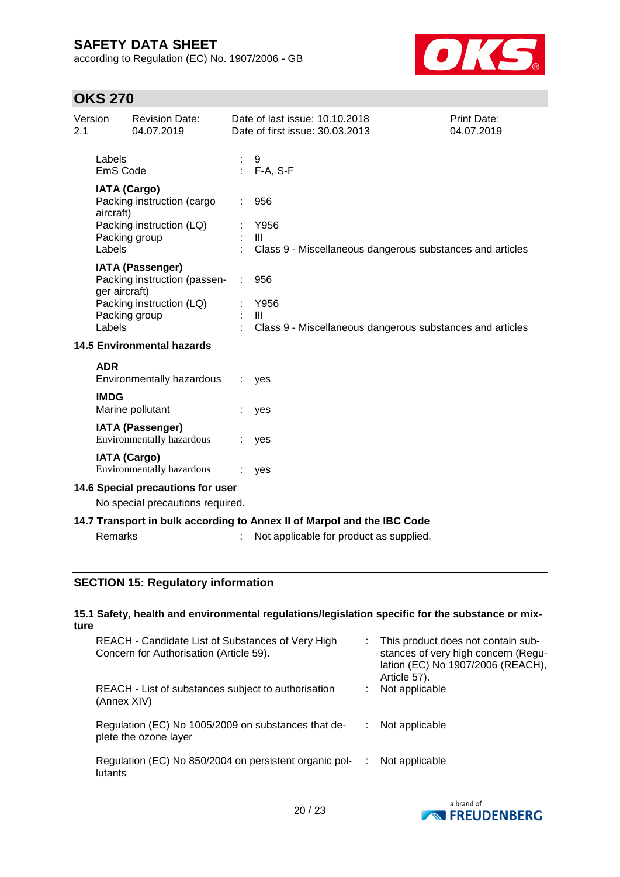according to Regulation (EC) No. 1907/2006 - GB



# **OKS 270**

| Version<br>2.1                                                                                                                     |                                                                                                                       | <b>Revision Date:</b><br>04.07.2019                                                                  |               | Date of last issue: 10.10.2018<br>Date of first issue: 30.03.2013                          | Print Date:<br>04.07.2019 |
|------------------------------------------------------------------------------------------------------------------------------------|-----------------------------------------------------------------------------------------------------------------------|------------------------------------------------------------------------------------------------------|---------------|--------------------------------------------------------------------------------------------|---------------------------|
| Labels<br>EmS Code                                                                                                                 |                                                                                                                       |                                                                                                      | 9<br>F-A, S-F |                                                                                            |                           |
|                                                                                                                                    | <b>IATA (Cargo)</b><br>Packing instruction (cargo<br>aircraft)<br>Packing instruction (LQ)<br>Packing group<br>Labels |                                                                                                      |               | 956<br>Y956<br>$\mathbf{III}$<br>Class 9 - Miscellaneous dangerous substances and articles |                           |
|                                                                                                                                    | ger aircraft)<br>Labels                                                                                               | <b>IATA (Passenger)</b><br>Packing instruction (passen-<br>Packing instruction (LQ)<br>Packing group |               | 956<br>Y956<br>$\mathbf{III}$<br>Class 9 - Miscellaneous dangerous substances and articles |                           |
| <b>14.5 Environmental hazards</b>                                                                                                  |                                                                                                                       |                                                                                                      |               |                                                                                            |                           |
|                                                                                                                                    | <b>ADR</b>                                                                                                            | Environmentally hazardous                                                                            |               | yes                                                                                        |                           |
|                                                                                                                                    | <b>IMDG</b>                                                                                                           | Marine pollutant                                                                                     |               | yes                                                                                        |                           |
|                                                                                                                                    |                                                                                                                       | <b>IATA (Passenger)</b><br>Environmentally hazardous                                                 |               | yes                                                                                        |                           |
|                                                                                                                                    |                                                                                                                       | <b>IATA (Cargo)</b><br><b>Environmentally hazardous</b>                                              |               | yes                                                                                        |                           |
| 14.6 Special precautions for user<br>No special precautions required.                                                              |                                                                                                                       |                                                                                                      |               |                                                                                            |                           |
| 14.7 Transport in bulk according to Annex II of Marpol and the IBC Code<br>Remarks<br>Not applicable for product as supplied.<br>÷ |                                                                                                                       |                                                                                                      |               |                                                                                            |                           |

### **SECTION 15: Regulatory information**

#### **15.1 Safety, health and environmental regulations/legislation specific for the substance or mixture**

| REACH - Candidate List of Substances of Very High<br>Concern for Authorisation (Article 59). | This product does not contain sub-<br>stances of very high concern (Regu-<br>lation (EC) No 1907/2006 (REACH),<br>Article 57). |
|----------------------------------------------------------------------------------------------|--------------------------------------------------------------------------------------------------------------------------------|
| REACH - List of substances subject to authorisation<br>(Annex XIV)                           | Not applicable                                                                                                                 |
| Regulation (EC) No 1005/2009 on substances that de-<br>plete the ozone layer                 | Not applicable                                                                                                                 |
| Regulation (EC) No 850/2004 on persistent organic pol-<br>lutants                            | Not applicable                                                                                                                 |

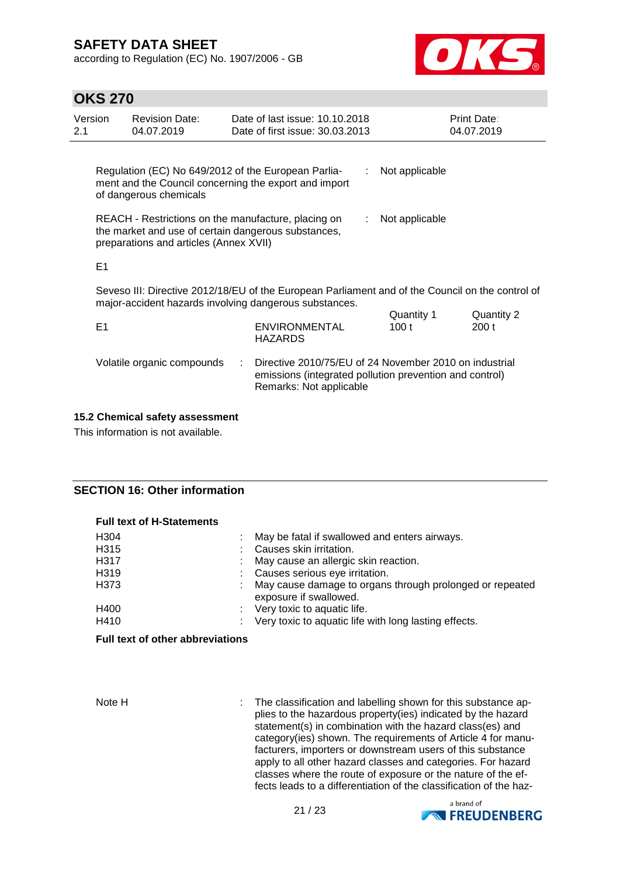according to Regulation (EC) No. 1907/2006 - GB



### **OKS 270**

| Version<br>2.1 | <b>Revision Date:</b><br>04.07.2019                                                                                                                        |  | Date of last issue: 10.10.2018<br>Date of first issue: 30.03.2013 |    |                     | <b>Print Date:</b><br>04.07.2019 |
|----------------|------------------------------------------------------------------------------------------------------------------------------------------------------------|--|-------------------------------------------------------------------|----|---------------------|----------------------------------|
|                | Regulation (EC) No 649/2012 of the European Parlia-<br>ment and the Council concerning the export and import<br>of dangerous chemicals                     |  |                                                                   |    | Not applicable      |                                  |
|                | REACH - Restrictions on the manufacture, placing on<br>the market and use of certain dangerous substances,<br>preparations and articles (Annex XVII)       |  |                                                                   | ÷. | Not applicable      |                                  |
| E <sub>1</sub> |                                                                                                                                                            |  |                                                                   |    |                     |                                  |
|                | Seveso III: Directive 2012/18/EU of the European Parliament and of the Council on the control of<br>major-accident hazards involving dangerous substances. |  |                                                                   |    |                     |                                  |
| E <sub>1</sub> |                                                                                                                                                            |  | <b>ENVIRONMENTAL</b><br>HAZARDS                                   |    | Quantity 1<br>100 t | Quantity 2<br>200t               |
|                | Volatile organic compounds                                                                                                                                 |  | Directive 2010/75/EU of 24 November 2010 on industrial            |    |                     |                                  |

Remarks: Not applicable

#### **15.2 Chemical safety assessment**

This information is not available.

#### **SECTION 16: Other information**

**Full text of H-Statements**

| FUII LEXI OI N'OLAIEINEILS |                                                                                    |
|----------------------------|------------------------------------------------------------------------------------|
| H <sub>304</sub>           | May be fatal if swallowed and enters airways.                                      |
| H <sub>3</sub> 15          | Causes skin irritation.                                                            |
| H317                       | May cause an allergic skin reaction.                                               |
| H319                       | : Causes serious eye irritation.                                                   |
| H373                       | May cause damage to organs through prolonged or repeated<br>exposure if swallowed. |
| H400                       | : Very toxic to aquatic life.                                                      |
| H410                       | $\therefore$ Very toxic to aquatic life with long lasting effects.                 |

#### **Full text of other abbreviations**

Note H : The classification and labelling shown for this substance applies to the hazardous property(ies) indicated by the hazard statement(s) in combination with the hazard class(es) and category(ies) shown. The requirements of Article 4 for manufacturers, importers or downstream users of this substance apply to all other hazard classes and categories. For hazard classes where the route of exposure or the nature of the effects leads to a differentiation of the classification of the haz-

emissions (integrated pollution prevention and control)

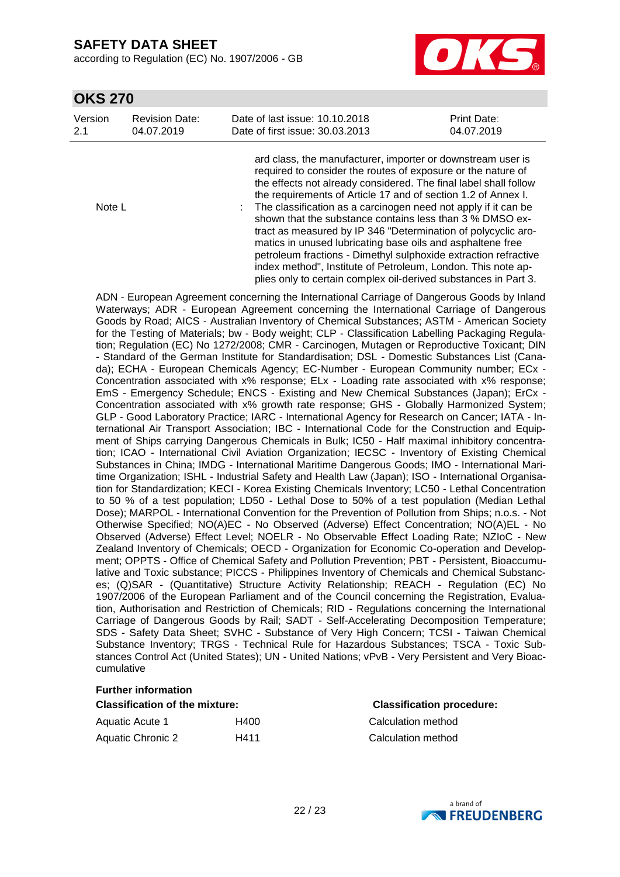according to Regulation (EC) No. 1907/2006 - GB



### **OKS 270**

| Version | <b>Revision Date:</b> | Date of last issue: 10.10.2018                              | <b>Print Date:</b> |
|---------|-----------------------|-------------------------------------------------------------|--------------------|
| 2.1     | 04.07.2019            | Date of first issue: 30.03.2013                             | 04.07.2019         |
|         |                       | ard class, the manufacturer, importer or downstream user is |                    |

|        | required to consider the routes of exposure or the nature of<br>the effects not already considered. The final label shall follow<br>the requirements of Article 17 and of section 1.2 of Annex I. |
|--------|---------------------------------------------------------------------------------------------------------------------------------------------------------------------------------------------------|
| Note L | : The classification as a carcinogen need not apply if it can be<br>shown that the substance contains less than 3 % DMSO ex-                                                                      |
|        | tract as measured by IP 346 "Determination of polycyclic aro-<br>matics in unused lubricating base oils and asphaltene free                                                                       |
|        | petroleum fractions - Dimethyl sulphoxide extraction refractive<br>index method", Institute of Petroleum, London. This note ap-                                                                   |
|        | plies only to certain complex oil-derived substances in Part 3.                                                                                                                                   |

ADN - European Agreement concerning the International Carriage of Dangerous Goods by Inland Waterways; ADR - European Agreement concerning the International Carriage of Dangerous Goods by Road; AICS - Australian Inventory of Chemical Substances; ASTM - American Society for the Testing of Materials; bw - Body weight; CLP - Classification Labelling Packaging Regulation; Regulation (EC) No 1272/2008; CMR - Carcinogen, Mutagen or Reproductive Toxicant; DIN - Standard of the German Institute for Standardisation; DSL - Domestic Substances List (Canada); ECHA - European Chemicals Agency; EC-Number - European Community number; ECx - Concentration associated with x% response; ELx - Loading rate associated with x% response; EmS - Emergency Schedule; ENCS - Existing and New Chemical Substances (Japan); ErCx - Concentration associated with x% growth rate response; GHS - Globally Harmonized System; GLP - Good Laboratory Practice; IARC - International Agency for Research on Cancer; IATA - International Air Transport Association; IBC - International Code for the Construction and Equipment of Ships carrying Dangerous Chemicals in Bulk; IC50 - Half maximal inhibitory concentration; ICAO - International Civil Aviation Organization; IECSC - Inventory of Existing Chemical Substances in China; IMDG - International Maritime Dangerous Goods; IMO - International Maritime Organization; ISHL - Industrial Safety and Health Law (Japan); ISO - International Organisation for Standardization; KECI - Korea Existing Chemicals Inventory; LC50 - Lethal Concentration to 50 % of a test population; LD50 - Lethal Dose to 50% of a test population (Median Lethal Dose); MARPOL - International Convention for the Prevention of Pollution from Ships; n.o.s. - Not Otherwise Specified; NO(A)EC - No Observed (Adverse) Effect Concentration; NO(A)EL - No Observed (Adverse) Effect Level; NOELR - No Observable Effect Loading Rate; NZIoC - New Zealand Inventory of Chemicals; OECD - Organization for Economic Co-operation and Development; OPPTS - Office of Chemical Safety and Pollution Prevention; PBT - Persistent, Bioaccumulative and Toxic substance; PICCS - Philippines Inventory of Chemicals and Chemical Substances; (Q)SAR - (Quantitative) Structure Activity Relationship; REACH - Regulation (EC) No 1907/2006 of the European Parliament and of the Council concerning the Registration, Evaluation, Authorisation and Restriction of Chemicals; RID - Regulations concerning the International Carriage of Dangerous Goods by Rail; SADT - Self-Accelerating Decomposition Temperature; SDS - Safety Data Sheet; SVHC - Substance of Very High Concern; TCSI - Taiwan Chemical Substance Inventory; TRGS - Technical Rule for Hazardous Substances; TSCA - Toxic Substances Control Act (United States); UN - United Nations; vPvB - Very Persistent and Very Bioaccumulative

#### **Further information**

### **Classification of the mixture: Classification procedure:**

| Aquatic Acute 1          | H400 |
|--------------------------|------|
| <b>Aquatic Chronic 2</b> | H411 |

Calculation method Calculation method